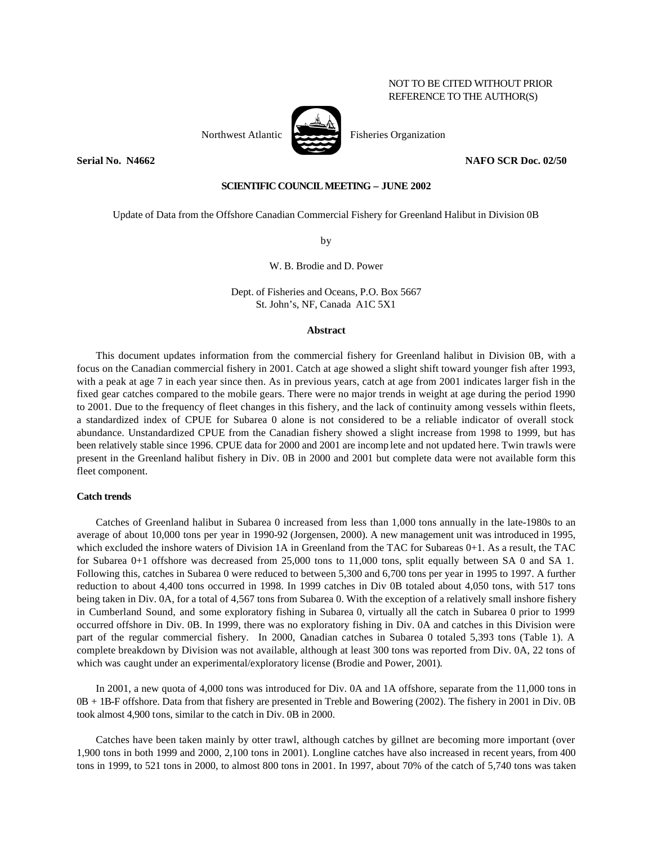# NOT TO BE CITED WITHOUT PRIOR REFERENCE TO THE AUTHOR(S)

# **SCIENTIFIC COUNCIL MEETING – JUNE 2002**

Update of Data from the Offshore Canadian Commercial Fishery for Greenland Halibut in Division 0B

by

#### W. B. Brodie and D. Power

Dept. of Fisheries and Oceans, P.O. Box 5667 St. John's, NF, Canada A1C 5X1

### **Abstract**

This document updates information from the commercial fishery for Greenland halibut in Division 0B, with a focus on the Canadian commercial fishery in 2001. Catch at age showed a slight shift toward younger fish after 1993, with a peak at age 7 in each year since then. As in previous years, catch at age from 2001 indicates larger fish in the fixed gear catches compared to the mobile gears. There were no major trends in weight at age during the period 1990 to 2001. Due to the frequency of fleet changes in this fishery, and the lack of continuity among vessels within fleets, a standardized index of CPUE for Subarea 0 alone is not considered to be a reliable indicator of overall stock abundance. Unstandardized CPUE from the Canadian fishery showed a slight increase from 1998 to 1999, but has been relatively stable since 1996. CPUE data for 2000 and 2001 are incomp lete and not updated here. Twin trawls were present in the Greenland halibut fishery in Div. 0B in 2000 and 2001 but complete data were not available form this fleet component.

### **Catch trends**

Catches of Greenland halibut in Subarea 0 increased from less than 1,000 tons annually in the late-1980s to an average of about 10,000 tons per year in 1990-92 (Jorgensen, 2000). A new management unit was introduced in 1995, which excluded the inshore waters of Division 1A in Greenland from the TAC for Subareas 0+1. As a result, the TAC for Subarea 0+1 offshore was decreased from 25,000 tons to 11,000 tons, split equally between SA 0 and SA 1. Following this, catches in Subarea 0 were reduced to between 5,300 and 6,700 tons per year in 1995 to 1997. A further reduction to about 4,400 tons occurred in 1998. In 1999 catches in Div 0B totaled about 4,050 tons, with 517 tons being taken in Div. 0A, for a total of 4,567 tons from Subarea 0. With the exception of a relatively small inshore fishery in Cumberland Sound, and some exploratory fishing in Subarea 0, virtually all the catch in Subarea 0 prior to 1999 occurred offshore in Div. 0B. In 1999, there was no exploratory fishing in Div. 0A and catches in this Division were part of the regular commercial fishery. In 2000, Canadian catches in Subarea 0 totaled 5,393 tons (Table 1). A complete breakdown by Division was not available, although at least 300 tons was reported from Div. 0A, 22 tons of which was caught under an experimental/exploratory license (Brodie and Power, 2001).

In 2001, a new quota of 4,000 tons was introduced for Div. 0A and 1A offshore, separate from the 11,000 tons in 0B + 1B-F offshore. Data from that fishery are presented in Treble and Bowering (2002). The fishery in 2001 in Div. 0B took almost 4,900 tons, similar to the catch in Div. 0B in 2000.

Catches have been taken mainly by otter trawl, although catches by gillnet are becoming more important (over 1,900 tons in both 1999 and 2000, 2,100 tons in 2001). Longline catches have also increased in recent years, from 400 tons in 1999, to 521 tons in 2000, to almost 800 tons in 2001. In 1997, about 70% of the catch of 5,740 tons was taken



**Serial No. N4662 NAFO SCR Doc. 02/50**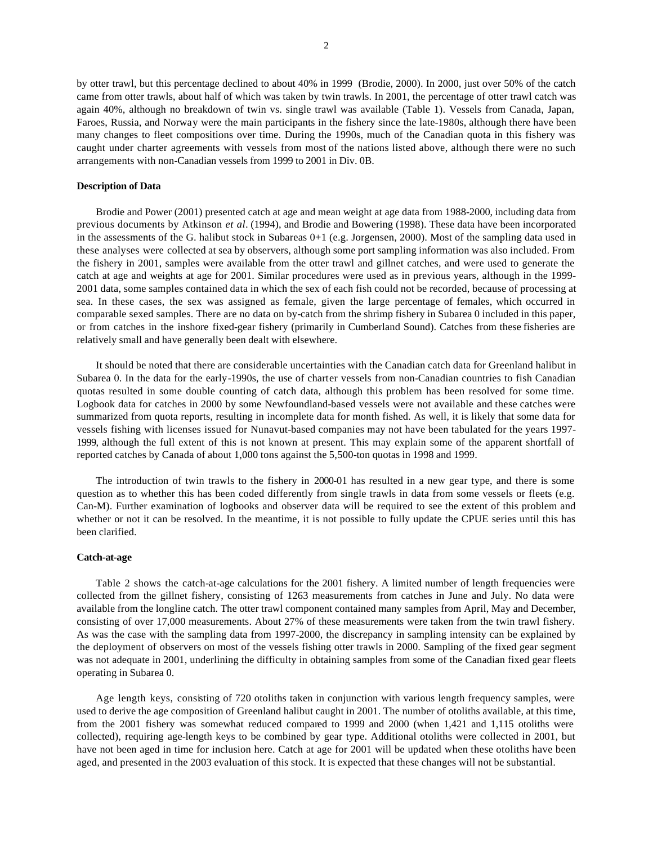by otter trawl, but this percentage declined to about 40% in 1999 (Brodie, 2000). In 2000, just over 50% of the catch came from otter trawls, about half of which was taken by twin trawls. In 2001, the percentage of otter trawl catch was again 40%, although no breakdown of twin vs. single trawl was available (Table 1). Vessels from Canada, Japan, Faroes, Russia, and Norway were the main participants in the fishery since the late-1980s, although there have been many changes to fleet compositions over time. During the 1990s, much of the Canadian quota in this fishery was caught under charter agreements with vessels from most of the nations listed above, although there were no such arrangements with non-Canadian vessels from 1999 to 2001 in Div. 0B.

#### **Description of Data**

Brodie and Power (2001) presented catch at age and mean weight at age data from 1988-2000, including data from previous documents by Atkinson *et al.* (1994), and Brodie and Bowering (1998). These data have been incorporated in the assessments of the G. halibut stock in Subareas 0+1 (e.g. Jorgensen, 2000). Most of the sampling data used in these analyses were collected at sea by observers, although some port sampling information was also included. From the fishery in 2001, samples were available from the otter trawl and gillnet catches, and were used to generate the catch at age and weights at age for 2001. Similar procedures were used as in previous years, although in the 1999- 2001 data, some samples contained data in which the sex of each fish could not be recorded, because of processing at sea. In these cases, the sex was assigned as female, given the large percentage of females, which occurred in comparable sexed samples. There are no data on by-catch from the shrimp fishery in Subarea 0 included in this paper, or from catches in the inshore fixed-gear fishery (primarily in Cumberland Sound). Catches from these fisheries are relatively small and have generally been dealt with elsewhere.

It should be noted that there are considerable uncertainties with the Canadian catch data for Greenland halibut in Subarea 0. In the data for the early-1990s, the use of charter vessels from non-Canadian countries to fish Canadian quotas resulted in some double counting of catch data, although this problem has been resolved for some time. Logbook data for catches in 2000 by some Newfoundland-based vessels were not available and these catches were summarized from quota reports, resulting in incomplete data for month fished. As well, it is likely that some data for vessels fishing with licenses issued for Nunavut-based companies may not have been tabulated for the years 1997- 1999, although the full extent of this is not known at present. This may explain some of the apparent shortfall of reported catches by Canada of about 1,000 tons against the 5,500-ton quotas in 1998 and 1999.

The introduction of twin trawls to the fishery in 2000-01 has resulted in a new gear type, and there is some question as to whether this has been coded differently from single trawls in data from some vessels or fleets (e.g. Can-M). Further examination of logbooks and observer data will be required to see the extent of this problem and whether or not it can be resolved. In the meantime, it is not possible to fully update the CPUE series until this has been clarified.

#### **Catch-at-age**

Table 2 shows the catch-at-age calculations for the 2001 fishery. A limited number of length frequencies were collected from the gillnet fishery, consisting of 1263 measurements from catches in June and July. No data were available from the longline catch. The otter trawl component contained many samples from April, May and December, consisting of over 17,000 measurements. About 27% of these measurements were taken from the twin trawl fishery. As was the case with the sampling data from 1997-2000, the discrepancy in sampling intensity can be explained by the deployment of observers on most of the vessels fishing otter trawls in 2000. Sampling of the fixed gear segment was not adequate in 2001, underlining the difficulty in obtaining samples from some of the Canadian fixed gear fleets operating in Subarea 0.

Age length keys, consisting of 720 otoliths taken in conjunction with various length frequency samples, were used to derive the age composition of Greenland halibut caught in 2001. The number of otoliths available, at this time, from the 2001 fishery was somewhat reduced compared to 1999 and 2000 (when 1,421 and 1,115 otoliths were collected), requiring age-length keys to be combined by gear type. Additional otoliths were collected in 2001, but have not been aged in time for inclusion here. Catch at age for 2001 will be updated when these otoliths have been aged, and presented in the 2003 evaluation of this stock. It is expected that these changes will not be substantial.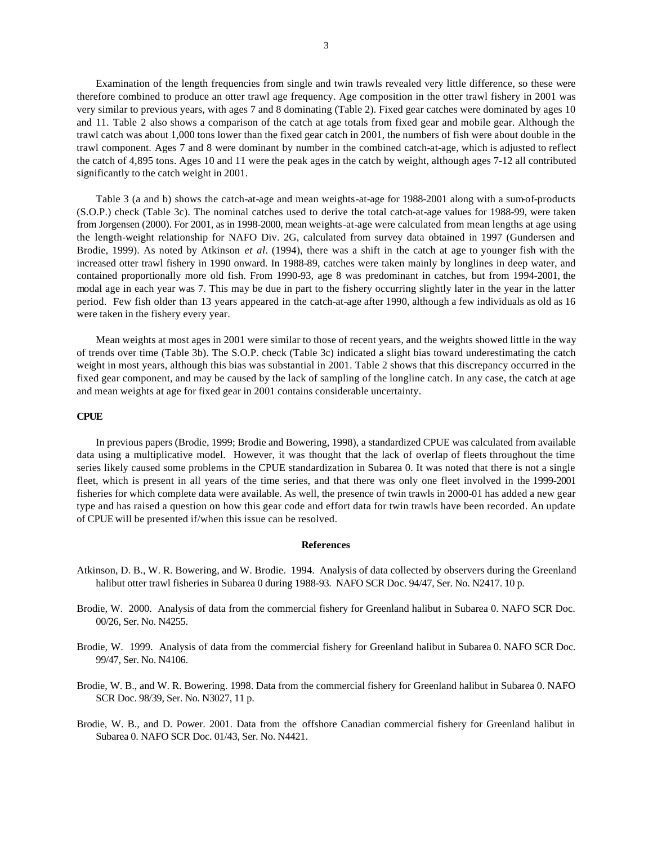Examination of the length frequencies from single and twin trawls revealed very little difference, so these were therefore combined to produce an otter trawl age frequency. Age composition in the otter trawl fishery in 2001 was very similar to previous years, with ages 7 and 8 dominating (Table 2). Fixed gear catches were dominated by ages 10 and 11. Table 2 also shows a comparison of the catch at age totals from fixed gear and mobile gear. Although the trawl catch was about 1,000 tons lower than the fixed gear catch in 2001, the numbers of fish were about double in the trawl component. Ages 7 and 8 were dominant by number in the combined catch-at-age, which is adjusted to reflect the catch of 4,895 tons. Ages 10 and 11 were the peak ages in the catch by weight, although ages 7-12 all contributed significantly to the catch weight in 2001.

Table 3 (a and b) shows the catch-at-age and mean weights-at-age for 1988-2001 along with a sum-of-products (S.O.P.) check (Table 3c). The nominal catches used to derive the total catch-at-age values for 1988-99, were taken from Jorgensen (2000). For 2001, as in 1998-2000, mean weights-at-age were calculated from mean lengths at age using the length-weight relationship for NAFO Div. 2G, calculated from survey data obtained in 1997 (Gundersen and Brodie, 1999). As noted by Atkinson *et al.* (1994), there was a shift in the catch at age to younger fish with the increased otter trawl fishery in 1990 onward. In 1988-89, catches were taken mainly by longlines in deep water, and contained proportionally more old fish. From 1990-93, age 8 was predominant in catches, but from 1994-2001, the modal age in each year was 7. This may be due in part to the fishery occurring slightly later in the year in the latter period. Few fish older than 13 years appeared in the catch-at-age after 1990, although a few individuals as old as 16 were taken in the fishery every year.

Mean weights at most ages in 2001 were similar to those of recent years, and the weights showed little in the way of trends over time (Table 3b). The S.O.P. check (Table 3c) indicated a slight bias toward underestimating the catch weight in most years, although this bias was substantial in 2001. Table 2 shows that this discrepancy occurred in the fixed gear component, and may be caused by the lack of sampling of the longline catch. In any case, the catch at age and mean weights at age for fixed gear in 2001 contains considerable uncertainty.

## **CPUE**

In previous papers (Brodie, 1999; Brodie and Bowering, 1998), a standardized CPUE was calculated from available data using a multiplicative model. However, it was thought that the lack of overlap of fleets throughout the time series likely caused some problems in the CPUE standardization in Subarea 0. It was noted that there is not a single fleet, which is present in all years of the time series, and that there was only one fleet involved in the 1999-2001 fisheries for which complete data were available. As well, the presence of twin trawls in 2000-01 has added a new gear type and has raised a question on how this gear code and effort data for twin trawls have been recorded. An update of CPUE will be presented if/when this issue can be resolved.

#### **References**

- Atkinson, D. B., W. R. Bowering, and W. Brodie. 1994. Analysis of data collected by observers during the Greenland halibut otter trawl fisheries in Subarea 0 during 1988-93. NAFO SCR Doc. 94/47, Ser. No. N2417. 10 p.
- Brodie, W. 2000. Analysis of data from the commercial fishery for Greenland halibut in Subarea 0. NAFO SCR Doc. 00/26, Ser. No. N4255.
- Brodie, W. 1999. Analysis of data from the commercial fishery for Greenland halibut in Subarea 0. NAFO SCR Doc. 99/47, Ser. No. N4106.
- Brodie, W. B., and W. R. Bowering. 1998. Data from the commercial fishery for Greenland halibut in Subarea 0. NAFO SCR Doc. 98/39, Ser. No. N3027, 11 p.
- Brodie, W. B., and D. Power. 2001. Data from the offshore Canadian commercial fishery for Greenland halibut in Subarea 0. NAFO SCR Doc. 01/43, Ser. No. N4421.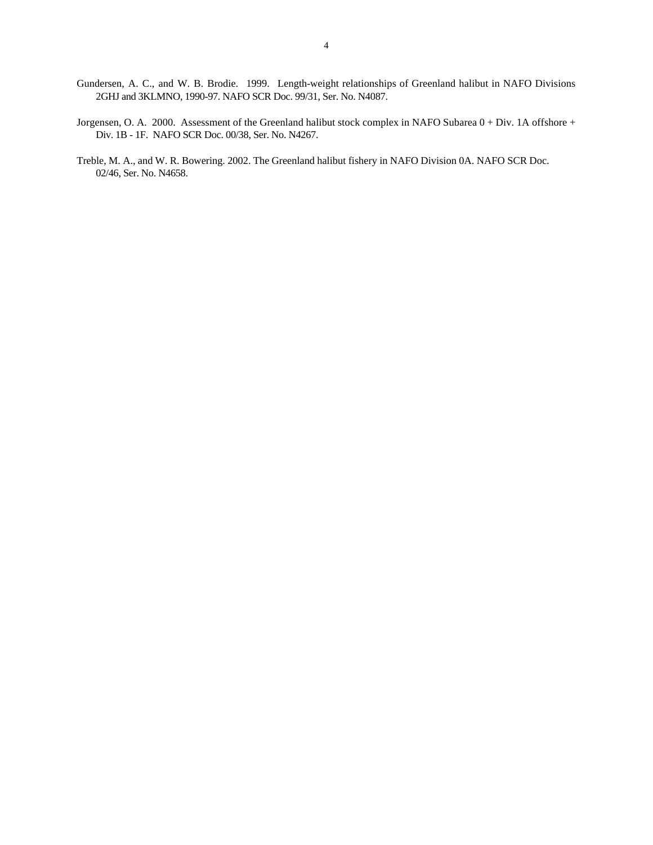- Gundersen, A. C., and W. B. Brodie. 1999. Length-weight relationships of Greenland halibut in NAFO Divisions 2GHJ and 3KLMNO, 1990-97. NAFO SCR Doc. 99/31, Ser. No. N4087.
- Jorgensen, O. A. 2000. Assessment of the Greenland halibut stock complex in NAFO Subarea 0 + Div. 1A offshore + Div. 1B - 1F. NAFO SCR Doc. 00/38, Ser. No. N4267.
- Treble, M. A., and W. R. Bowering. 2002. The Greenland halibut fishery in NAFO Division 0A. NAFO SCR Doc. 02/46, Ser. No. N4658.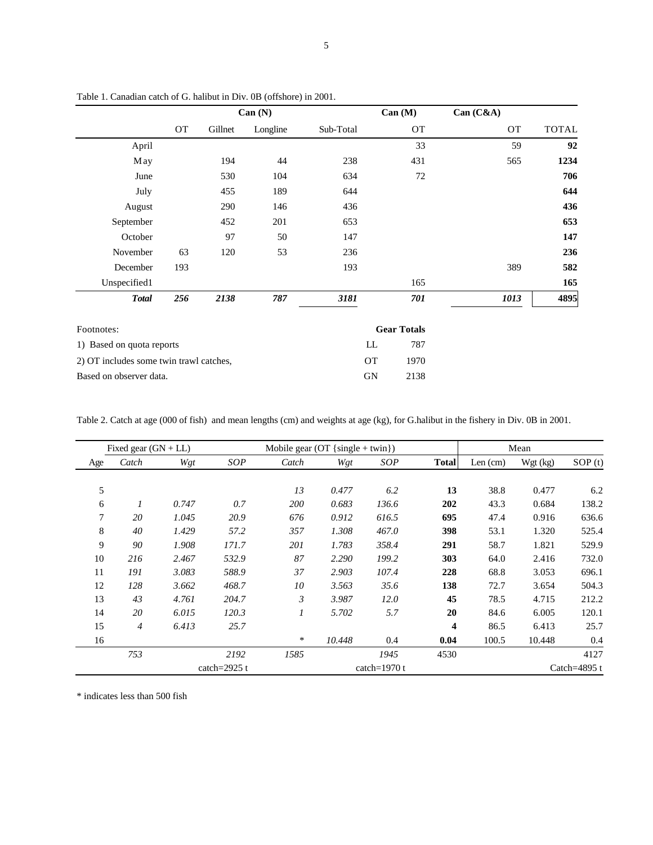|                                         |           |         | Can (N)  |           |           | Can (M)            | Can (C&A) |              |
|-----------------------------------------|-----------|---------|----------|-----------|-----------|--------------------|-----------|--------------|
|                                         | <b>OT</b> | Gillnet | Longline | Sub-Total |           | OT                 | <b>OT</b> | <b>TOTAL</b> |
| April                                   |           |         |          |           |           | 33                 | 59        | 92           |
| May                                     |           | 194     | 44       | 238       |           | 431                | 565       | 1234         |
| June                                    |           | 530     | 104      | 634       |           | 72                 |           | 706          |
| July                                    |           | 455     | 189      | 644       |           |                    |           | 644          |
| August                                  |           | 290     | 146      | 436       |           |                    |           | 436          |
| September                               |           | 452     | 201      | 653       |           |                    |           | 653          |
| October                                 |           | 97      | 50       | 147       |           |                    |           | 147          |
| November                                | 63        | 120     | 53       | 236       |           |                    |           | 236          |
| December                                | 193       |         |          | 193       |           |                    | 389       | 582          |
| Unspecified1                            |           |         |          |           |           | 165                |           | 165          |
| <b>Total</b>                            | 256       | 2138    | 787      | 3181      |           | 701                | 1013      | 4895         |
| Footnotes:                              |           |         |          |           |           | <b>Gear Totals</b> |           |              |
| 1) Based on quota reports               |           |         |          |           | LL        | 787                |           |              |
| 2) OT includes some twin trawl catches, |           |         |          |           | <b>OT</b> | 1970               |           |              |
| Based on observer data.                 |           |         |          |           | GN        | 2138               |           |              |

Table 1. Canadian catch of G. halibut in Div. 0B (offshore) in 2001.

Table 2. Catch at age (000 of fish) and mean lengths (cm) and weights at age (kg), for G.halibut in the fishery in Div. 0B in 2001.

|     | Fixed gear $(GN + LL)$ |       |                 | Mobile gear $(OT {single + twin})$ |        | Mean           |                         |         |          |                 |
|-----|------------------------|-------|-----------------|------------------------------------|--------|----------------|-------------------------|---------|----------|-----------------|
| Age | Catch                  | Wgt   | SOP             | Catch                              | Wgt    | SOP            | <b>Total</b>            | Len(cm) | Wgt (kg) | SOP(t)          |
|     |                        |       |                 |                                    |        |                |                         |         |          |                 |
| 5   |                        |       |                 | 13                                 | 0.477  | 6.2            | 13                      | 38.8    | 0.477    | 6.2             |
| 6   | 1                      | 0.747 | 0.7             | <i>200</i>                         | 0.683  | 136.6          | 202                     | 43.3    | 0.684    | 138.2           |
| 7   | 20                     | 1.045 | 20.9            | 676                                | 0.912  | 616.5          | 695                     | 47.4    | 0.916    | 636.6           |
| 8   | 40                     | 1.429 | 57.2            | 357                                | 1.308  | 467.0          | 398                     | 53.1    | 1.320    | 525.4           |
| 9   | 90                     | 1.908 | 171.7           | 201                                | 1.783  | 358.4          | 291                     | 58.7    | 1.821    | 529.9           |
| 10  | 216                    | 2.467 | 532.9           | 87                                 | 2.290  | 199.2          | 303                     | 64.0    | 2.416    | 732.0           |
| 11  | 191                    | 3.083 | 588.9           | 37                                 | 2.903  | 107.4          | 228                     | 68.8    | 3.053    | 696.1           |
| 12  | 128                    | 3.662 | 468.7           | 10                                 | 3.563  | 35.6           | 138                     | 72.7    | 3.654    | 504.3           |
| 13  | 43                     | 4.761 | 204.7           | 3                                  | 3.987  | 12.0           | 45                      | 78.5    | 4.715    | 212.2           |
| 14  | 20                     | 6.015 | 120.3           | $\mathfrak{1}$                     | 5.702  | 5.7            | 20                      | 84.6    | 6.005    | 120.1           |
| 15  | $\boldsymbol{4}$       | 6.413 | 25.7            |                                    |        |                | $\overline{\mathbf{4}}$ | 86.5    | 6.413    | 25.7            |
| 16  |                        |       |                 | *                                  | 10.448 | 0.4            | 0.04                    | 100.5   | 10.448   | 0.4             |
|     | 753                    |       | 2192            | 1585                               |        | 1945           | 4530                    |         |          | 4127            |
|     |                        |       | catch= $2925$ t |                                    |        | catch= $1970t$ |                         |         |          | Catch= $4895$ t |

\* indicates less than 500 fish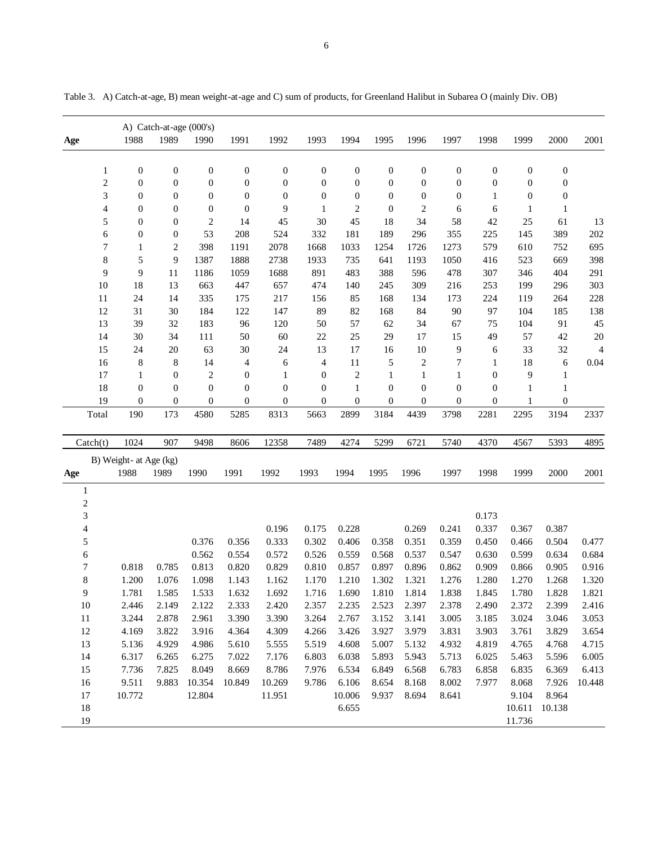|                   |                        | A) Catch-at-age (000's) |                  |                  |                  |                  |                  |                  |                  |                  |                  |                  |                  |                |
|-------------------|------------------------|-------------------------|------------------|------------------|------------------|------------------|------------------|------------------|------------------|------------------|------------------|------------------|------------------|----------------|
| Age               | 1988                   | 1989                    | 1990             | 1991             | 1992             | 1993             | 1994             | 1995             | 1996             | 1997             | 1998             | 1999             | 2000             | 2001           |
| $\mathbf{1}$      | $\boldsymbol{0}$       | $\boldsymbol{0}$        | $\boldsymbol{0}$ | $\boldsymbol{0}$ | $\boldsymbol{0}$ | $\boldsymbol{0}$ | $\boldsymbol{0}$ | $\boldsymbol{0}$ | $\boldsymbol{0}$ | $\boldsymbol{0}$ | $\boldsymbol{0}$ | $\boldsymbol{0}$ | $\boldsymbol{0}$ |                |
| $\overline{c}$    | $\boldsymbol{0}$       | $\boldsymbol{0}$        | $\boldsymbol{0}$ | $\boldsymbol{0}$ | $\boldsymbol{0}$ | $\boldsymbol{0}$ | $\boldsymbol{0}$ | $\boldsymbol{0}$ | $\boldsymbol{0}$ | $\boldsymbol{0}$ | $\boldsymbol{0}$ | $\boldsymbol{0}$ | $\boldsymbol{0}$ |                |
| 3                 | $\mathbf{0}$           | $\boldsymbol{0}$        | $\boldsymbol{0}$ | $\boldsymbol{0}$ | $\boldsymbol{0}$ | $\boldsymbol{0}$ | $\boldsymbol{0}$ | $\mathbf{0}$     | $\boldsymbol{0}$ | $\boldsymbol{0}$ | 1                | $\boldsymbol{0}$ | $\boldsymbol{0}$ |                |
| $\overline{4}$    | $\mathbf{0}$           | $\boldsymbol{0}$        | $\boldsymbol{0}$ | $\mathbf{0}$     | 9                | $\mathbf{1}$     | 2                | $\boldsymbol{0}$ | $\overline{c}$   | 6                | 6                | $\mathbf{1}$     | $\mathbf{1}$     |                |
| 5                 | $\boldsymbol{0}$       | $\boldsymbol{0}$        | $\overline{c}$   | 14               | 45               | 30               | 45               | 18               | 34               | 58               | 42               | 25               | 61               | 13             |
| 6                 | $\boldsymbol{0}$       | $\boldsymbol{0}$        | 53               | 208              | 524              | 332              | 181              | 189              | 296              | 355              | 225              | 145              | 389              | 202            |
| $\boldsymbol{7}$  | $\mathbf{1}$           | $\overline{c}$          | 398              | 1191             | 2078             | 1668             | 1033             | 1254             | 1726             | 1273             | 579              | 610              | 752              | 695            |
| $\,$ 8 $\,$       | 5                      | 9                       | 1387             | 1888             | 2738             | 1933             | 735              | 641              | 1193             | 1050             | 416              | 523              | 669              | 398            |
| 9                 | 9                      | 11                      | 1186             | 1059             | 1688             | 891              | 483              | 388              | 596              | 478              | 307              | 346              | 404              | 291            |
| 10                | 18                     | 13                      | 663              | 447              | 657              | 474              | 140              | 245              | 309              | 216              | 253              | 199              | 296              | 303            |
| 11                | 24                     | 14                      | 335              | 175              | 217              | 156              | 85               | 168              | 134              | 173              | 224              | 119              | 264              | 228            |
| 12                | 31                     | 30                      | 184              | 122              | 147              | 89               | 82               | 168              | 84               | 90               | 97               | 104              | 185              | 138            |
| 13                | 39                     | 32                      | 183              | 96               | 120              | 50               | 57               | 62               | 34               | 67               | 75               | 104              | 91               | 45             |
| 14                | 30                     | 34                      | 111              | 50               | 60               | $22\,$           | $25\,$           | 29               | 17               | 15               | 49               | 57               | 42               | 20             |
| 15                | 24                     | 20                      | 63               | 30               | 24               | 13               | 17               | 16               | $10\,$           | 9                | 6                | 33               | 32               | $\overline{4}$ |
| 16                | $\,8\,$                | 8                       | 14               | 4                | 6                | $\overline{4}$   | $11\,$           | 5                | $\overline{c}$   | 7                | $\mathbf{1}$     | 18               | 6                | 0.04           |
| 17                | $\mathbf{1}$           | $\boldsymbol{0}$        | $\overline{c}$   | $\boldsymbol{0}$ | $\mathbf{1}$     | $\boldsymbol{0}$ | $\overline{c}$   | $\mathbf{1}$     | $\mathbf{1}$     | $\mathbf{1}$     | $\boldsymbol{0}$ | 9                | $\mathbf{1}$     |                |
| 18                | $\boldsymbol{0}$       | $\boldsymbol{0}$        | $\boldsymbol{0}$ | $\boldsymbol{0}$ | $\boldsymbol{0}$ | $\boldsymbol{0}$ | $\mathbf{1}$     | $\boldsymbol{0}$ | $\boldsymbol{0}$ | $\boldsymbol{0}$ | $\boldsymbol{0}$ | 1                | $\mathbf{1}$     |                |
| 19                | $\mathbf{0}$           | $\boldsymbol{0}$        | $\boldsymbol{0}$ | $\boldsymbol{0}$ | $\boldsymbol{0}$ | $\boldsymbol{0}$ | $\boldsymbol{0}$ | $\boldsymbol{0}$ | $\mathbf{0}$     | $\boldsymbol{0}$ | $\boldsymbol{0}$ | 1                | $\boldsymbol{0}$ |                |
| Total             | 190                    | 173                     | 4580             | 5285             | 8313             | 5663             | 2899             | 3184             | 4439             | 3798             | 2281             | 2295             | 3194             | 2337           |
| $\text{Catch}(t)$ | 1024                   | 907                     | 9498             | 8606             | 12358            | 7489             | 4274             | 5299             | 6721             | 5740             | 4370             | 4567             | 5393             | 4895           |
|                   | B) Weight- at Age (kg) |                         |                  |                  |                  |                  |                  |                  |                  |                  |                  |                  |                  |                |
| Age               | 1988                   | 1989                    | 1990             | 1991             | 1992             | 1993             | 1994             | 1995             | 1996             | 1997             | 1998             | 1999             | 2000             | 2001           |
| $\mathbf{1}$      |                        |                         |                  |                  |                  |                  |                  |                  |                  |                  |                  |                  |                  |                |
| $\overline{c}$    |                        |                         |                  |                  |                  |                  |                  |                  |                  |                  |                  |                  |                  |                |
| 3                 |                        |                         |                  |                  |                  |                  |                  |                  |                  |                  | 0.173            |                  |                  |                |
| 4                 |                        |                         |                  |                  | 0.196            | 0.175            | 0.228            |                  | 0.269            | 0.241            | 0.337            | 0.367            | 0.387            |                |
| 5                 |                        |                         | 0.376            | 0.356            | 0.333            | 0.302            | 0.406            | 0.358            | 0.351            | 0.359            | 0.450            | 0.466            | 0.504            | 0.477          |
| 6                 |                        |                         | 0.562            | 0.554            | 0.572            | 0.526            | 0.559            | 0.568            | 0.537            | 0.547            | 0.630            | 0.599            | 0.634            | 0.684          |
| 7                 | 0.818                  | 0.785                   | 0.813            | 0.820            | 0.829            | 0.810            | 0.857            | 0.897            | 0.896            | 0.862            | 0.909            | 0.866            | 0.905            | 0.916          |
| 8                 | 1.200                  | 1.076                   | 1.098            | 1.143            | 1.162            | 1.170            | 1.210            | 1.302            | 1.321            | 1.276            | 1.280            | 1.270            | 1.268            | 1.320          |
| 9                 | 1.781                  | 1.585                   | 1.533            | 1.632            | 1.692            | 1.716            | 1.690            | 1.810            | 1.814            | 1.838            | 1.845            | 1.780            | 1.828            | 1.821          |
| 10                | 2.446                  | 2.149                   | 2.122            | 2.333            | 2.420            | 2.357            | 2.235            | 2.523            | 2.397            | 2.378            | 2.490            | 2.372            | 2.399            | 2.416          |
| 11                | 3.244                  | 2.878                   | 2.961            | 3.390            | 3.390            | 3.264            | 2.767            | 3.152            | 3.141            | 3.005            | 3.185            | 3.024            | 3.046            | 3.053          |
| $12\,$            | 4.169                  | 3.822                   | 3.916            | 4.364            | 4.309            | 4.266            | 3.426            | 3.927            | 3.979            | 3.831            | 3.903            | 3.761            | 3.829            | 3.654          |
| 13                | 5.136                  | 4.929                   | 4.986            | 5.610            | 5.555            | 5.519            | 4.608            | 5.007            | 5.132            | 4.932            | 4.819            | 4.765            | 4.768            | 4.715          |
| 14                | 6.317                  | 6.265                   | 6.275            | 7.022            | 7.176            | 6.803            | 6.038            | 5.893            | 5.943            | 5.713            | 6.025            | 5.463            | 5.596            | 6.005          |
| 15                | 7.736                  | 7.825                   | 8.049            | 8.669            | 8.786            | 7.976            | 6.534            | 6.849            | 6.568            | 6.783            | 6.858            | 6.835            | 6.369            | 6.413          |
| 16                | 9.511                  | 9.883                   | 10.354           | 10.849           | 10.269           | 9.786            | 6.106            | 8.654            | 8.168            | 8.002            | 7.977            | 8.068            | 7.926            | 10.448         |
| 17                | 10.772                 |                         | 12.804           |                  | 11.951           |                  | 10.006           | 9.937            | 8.694            | 8.641            |                  | 9.104            | 8.964            |                |
| 18                |                        |                         |                  |                  |                  |                  | 6.655            |                  |                  |                  |                  | 10.611           | 10.138           |                |
| 19                |                        |                         |                  |                  |                  |                  |                  |                  |                  |                  |                  | 11.736           |                  |                |

Table 3. A) Catch-at-age, B) mean weight-at-age and C) sum of products, for Greenland Halibut in Subarea O (mainly Div. OB)